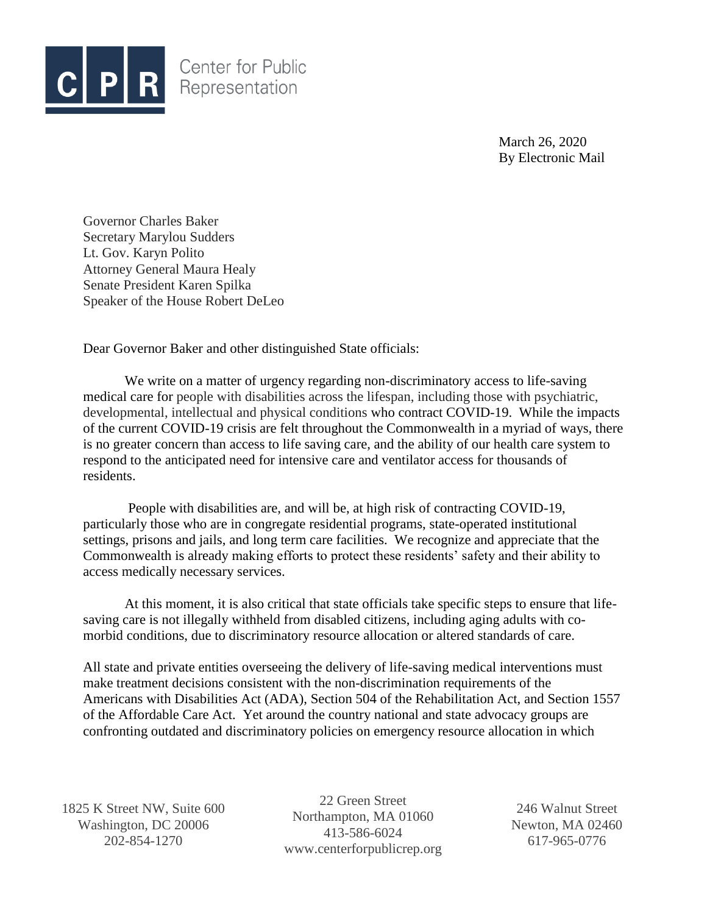

March 26, 2020 By Electronic Mail

Governor Charles Baker Secretary Marylou Sudders Lt. Gov. Karyn Polito Attorney General Maura Healy Senate President Karen Spilka Speaker of the House Robert DeLeo

Dear Governor Baker and other distinguished State officials:

We write on a matter of urgency regarding non-discriminatory access to life-saving medical care for people with disabilities across the lifespan, including those with psychiatric, developmental, intellectual and physical conditions who contract COVID-19. While the impacts of the current COVID-19 crisis are felt throughout the Commonwealth in a myriad of ways, there is no greater concern than access to life saving care, and the ability of our health care system to respond to the anticipated need for intensive care and ventilator access for thousands of residents.

People with disabilities are, and will be, at high risk of contracting COVID-19, particularly those who are in congregate residential programs, state-operated institutional settings, prisons and jails, and long term care facilities. We recognize and appreciate that the Commonwealth is already making efforts to protect these residents' safety and their ability to access medically necessary services.

At this moment, it is also critical that state officials take specific steps to ensure that lifesaving care is not illegally withheld from disabled citizens, including aging adults with comorbid conditions, due to discriminatory resource allocation or altered standards of care.

All state and private entities overseeing the delivery of life-saving medical interventions must make treatment decisions consistent with the non-discrimination requirements of the Americans with Disabilities Act (ADA), Section 504 of the Rehabilitation Act, and Section 1557 of the Affordable Care Act. Yet around the country national and state advocacy groups are confronting outdated and discriminatory policies on emergency resource allocation in which

1825 K Street NW, Suite 600 Washington, DC 20006 202-854-1270

22 Green Street Northampton, MA 01060 413-586-6024 www.centerforpublicrep.org

246 Walnut Street Newton, MA 02460 617-965-0776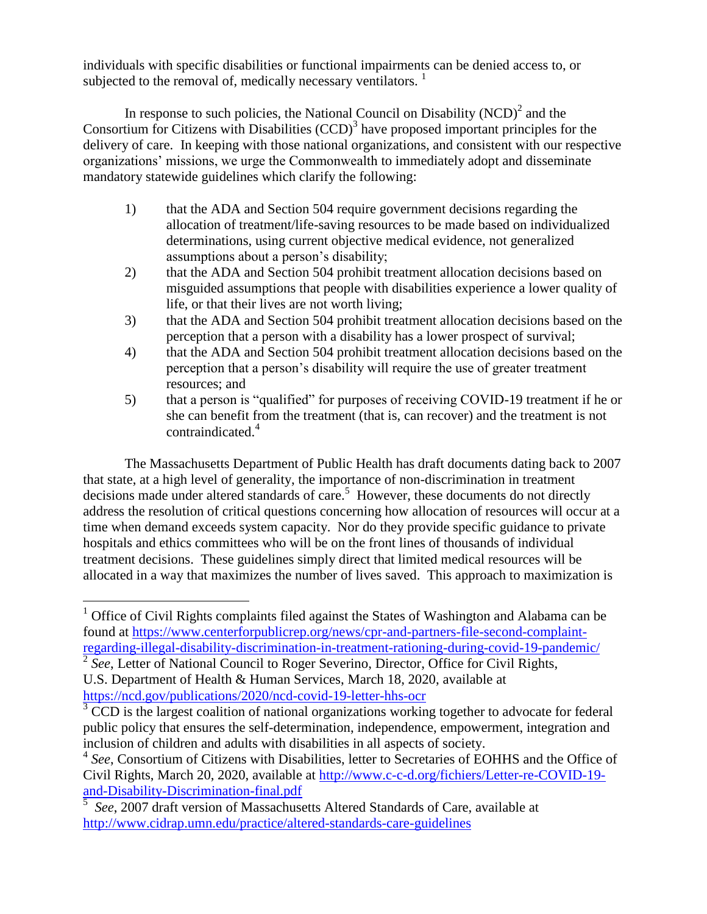individuals with specific disabilities or functional impairments can be denied access to, or subjected to the removal of, medically necessary ventilators.  $\frac{1}{1}$ 

In response to such policies, the National Council on Disability  $(NCD)^2$  and the Consortium for Citizens with Disabilities  $(CCD)^3$  have proposed important principles for the delivery of care. In keeping with those national organizations, and consistent with our respective organizations' missions, we urge the Commonwealth to immediately adopt and disseminate mandatory statewide guidelines which clarify the following:

- 1) that the ADA and Section 504 require government decisions regarding the allocation of treatment/life-saving resources to be made based on individualized determinations, using current objective medical evidence, not generalized assumptions about a person's disability;
- 2) that the ADA and Section 504 prohibit treatment allocation decisions based on misguided assumptions that people with disabilities experience a lower quality of life, or that their lives are not worth living;
- 3) that the ADA and Section 504 prohibit treatment allocation decisions based on the perception that a person with a disability has a lower prospect of survival;
- 4) that the ADA and Section 504 prohibit treatment allocation decisions based on the perception that a person's disability will require the use of greater treatment resources; and
- 5) that a person is "qualified" for purposes of receiving COVID-19 treatment if he or she can benefit from the treatment (that is, can recover) and the treatment is not contraindicated.<sup>4</sup>

The Massachusetts Department of Public Health has draft documents dating back to 2007 that state, at a high level of generality, the importance of non-discrimination in treatment decisions made under altered standards of care.<sup>5</sup> However, these documents do not directly address the resolution of critical questions concerning how allocation of resources will occur at a time when demand exceeds system capacity. Nor do they provide specific guidance to private hospitals and ethics committees who will be on the front lines of thousands of individual treatment decisions. These guidelines simply direct that limited medical resources will be allocated in a way that maximizes the number of lives saved. This approach to maximization is

<sup>2</sup> See, Letter of National Council to Roger Severino, Director, Office for Civil Rights, U.S. Department of Health & Human Services, March 18, 2020, available at <https://ncd.gov/publications/2020/ncd-covid-19-letter-hhs-ocr>

 $\overline{a}$ 

 $1$  Office of Civil Rights complaints filed against the States of Washington and Alabama can be found at https://www.centerforpublicrep.org/news/cpr-and-partners-file-second-complaintregarding-illegal-disability-discrimination-in-treatment-rationing-during-covid-19-pandemic/

 $3 \overline{CCD}$  is the largest coalition of national organizations working together to advocate for federal public policy that ensures the self-determination, independence, empowerment, integration and inclusion of children and adults with disabilities in all aspects of society.

<sup>&</sup>lt;sup>4</sup> See, Consortium of Citizens with Disabilities, letter to Secretaries of EOHHS and the Office of Civil Rights, March 20, 2020, available at [http://www.c-c-d.org/fichiers/Letter-re-COVID-19](http://www.c-c-d.org/fichiers/Letter-re-COVID-19-and-Disability-Discrimination-final.pdf) [and-Disability-Discrimination-final.pdf](http://www.c-c-d.org/fichiers/Letter-re-COVID-19-and-Disability-Discrimination-final.pdf)<br>
<sup>5</sup> See 2007 dreft version of Messeebus

*See*, 2007 draft version of Massachusetts Altered Standards of Care, available at <http://www.cidrap.umn.edu/practice/altered-standards-care-guidelines>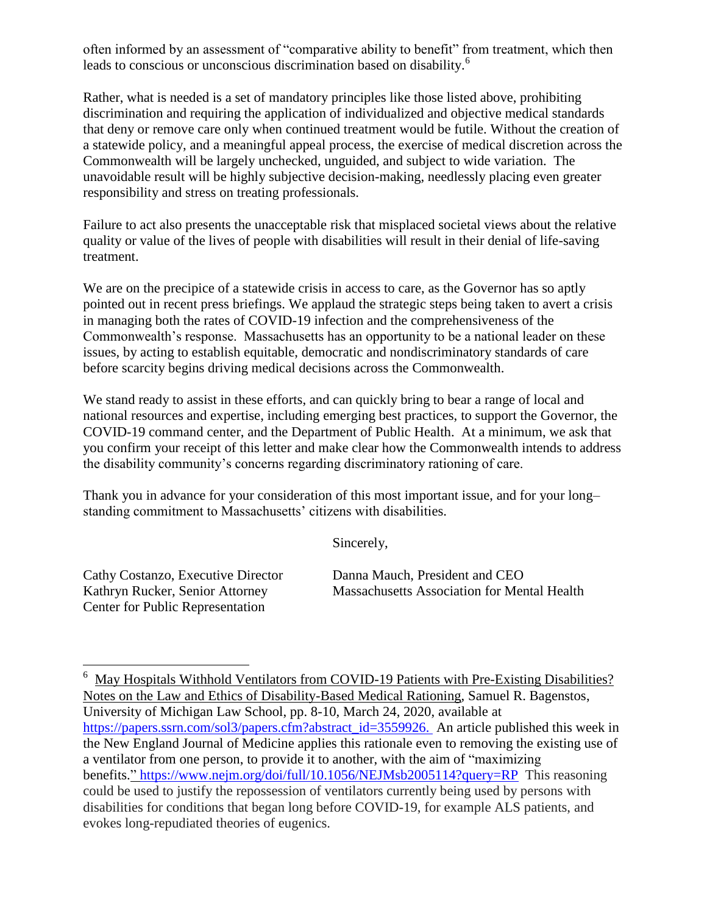often informed by an assessment of "comparative ability to benefit" from treatment, which then leads to conscious or unconscious discrimination based on disability.<sup>6</sup>

Rather, what is needed is a set of mandatory principles like those listed above, prohibiting discrimination and requiring the application of individualized and objective medical standards that deny or remove care only when continued treatment would be futile. Without the creation of a statewide policy, and a meaningful appeal process, the exercise of medical discretion across the Commonwealth will be largely unchecked, unguided, and subject to wide variation. The unavoidable result will be highly subjective decision-making, needlessly placing even greater responsibility and stress on treating professionals.

Failure to act also presents the unacceptable risk that misplaced societal views about the relative quality or value of the lives of people with disabilities will result in their denial of life-saving treatment.

We are on the precipice of a statewide crisis in access to care, as the Governor has so aptly pointed out in recent press briefings. We applaud the strategic steps being taken to avert a crisis in managing both the rates of COVID-19 infection and the comprehensiveness of the Commonwealth's response. Massachusetts has an opportunity to be a national leader on these issues, by acting to establish equitable, democratic and nondiscriminatory standards of care before scarcity begins driving medical decisions across the Commonwealth.

We stand ready to assist in these efforts, and can quickly bring to bear a range of local and national resources and expertise, including emerging best practices, to support the Governor, the COVID-19 command center, and the Department of Public Health. At a minimum, we ask that you confirm your receipt of this letter and make clear how the Commonwealth intends to address the disability community's concerns regarding discriminatory rationing of care.

Thank you in advance for your consideration of this most important issue, and for your long– standing commitment to Massachusetts' citizens with disabilities.

Sincerely,

Center for Public Representation

 $\overline{a}$ 

Cathy Costanzo, Executive Director Danna Mauch, President and CEO Kathryn Rucker, Senior Attorney Massachusetts Association for Mental Health

<sup>6</sup> May Hospitals Withhold Ventilators from COVID-19 Patients with Pre-Existing Disabilities? Notes on the Law and Ethics of Disability-Based Medical Rationing, Samuel R. Bagenstos, University of Michigan Law School, pp. 8-10, March 24, 2020, available at [https://papers.ssrn.com/sol3/papers.cfm?abstract\\_id=3559926.](https://papers.ssrn.com/sol3/papers.cfm?abstract_id=3559926) An article published this week in the New England Journal of Medicine applies this rationale even to removing the existing use of a ventilator from one person, to provide it to another, with the aim of "maximizing benefits." <https://www.nejm.org/doi/full/10.1056/NEJMsb2005114?query=RP> This reasoning could be used to justify the repossession of ventilators currently being used by persons with disabilities for conditions that began long before COVID-19, for example ALS patients, and evokes long-repudiated theories of eugenics.